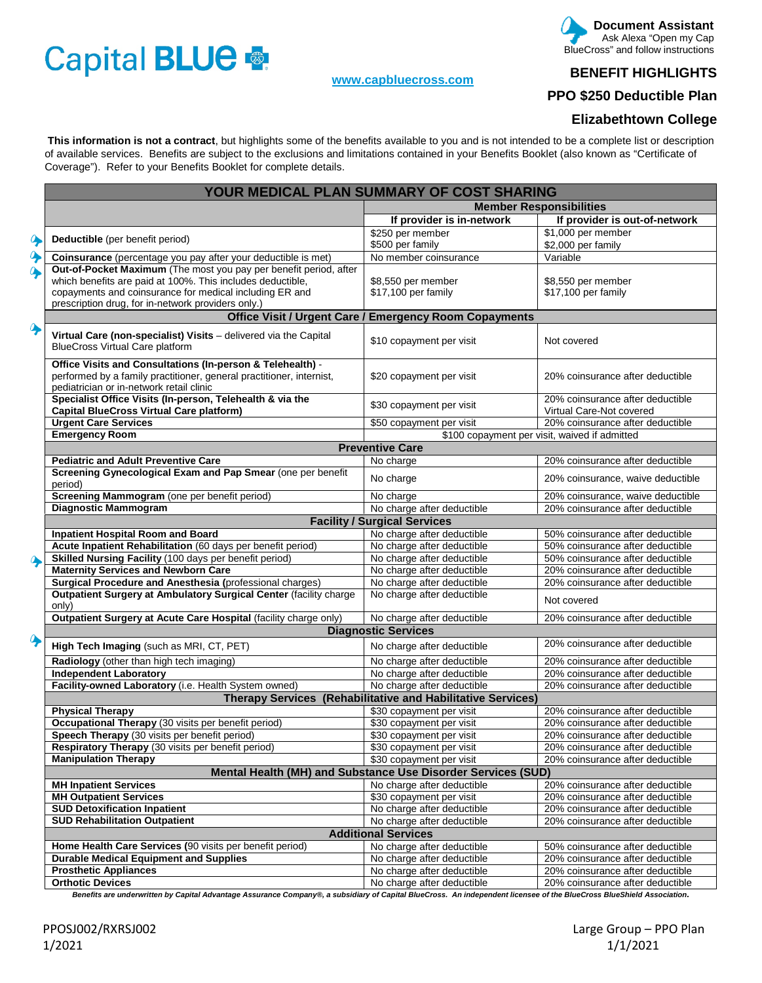# Capital BLUE

#### **[www.capbluecross.com](http://www.capbluecross.com/)**

#### **Document Assistant**  Ask Alexa "Open my Cap BlueCross" and follow instructions

## **BENEFIT HIGHLIGHTS**

**PPO \$250 Deductible Plan** 

## **Elizabethtown College**

 **This information is not a contract**, but highlights some of the benefits available to you and is not intended to be a complete list or description of available services. Benefits are subject to the exclusions and limitations contained in your Benefits Booklet (also known as "Certificate of Coverage"). Refer to your Benefits Booklet for complete details.

|                  | YOUR MEDICAL PLAN SUMMARY OF COST SHARING                                                                        |                                                              |                                               |  |  |  |  |
|------------------|------------------------------------------------------------------------------------------------------------------|--------------------------------------------------------------|-----------------------------------------------|--|--|--|--|
|                  |                                                                                                                  | <b>Member Responsibilities</b>                               |                                               |  |  |  |  |
|                  |                                                                                                                  | If provider is in-network                                    | If provider is out-of-network                 |  |  |  |  |
|                  |                                                                                                                  | \$250 per member                                             | \$1,000 per member                            |  |  |  |  |
| $\ddot{\bullet}$ | Deductible (per benefit period)                                                                                  | \$500 per family                                             | \$2,000 per family                            |  |  |  |  |
|                  | Coinsurance (percentage you pay after your deductible is met)                                                    | No member coinsurance                                        | Variable                                      |  |  |  |  |
|                  | Out-of-Pocket Maximum (The most you pay per benefit period, after                                                |                                                              |                                               |  |  |  |  |
|                  | which benefits are paid at 100%. This includes deductible,                                                       | \$8,550 per member                                           | \$8,550 per member                            |  |  |  |  |
|                  | copayments and coinsurance for medical including ER and                                                          | \$17,100 per family                                          | \$17,100 per family                           |  |  |  |  |
|                  | prescription drug, for in-network providers only.)                                                               |                                                              |                                               |  |  |  |  |
|                  | <b>Office Visit / Urgent Care / Emergency Room Copayments</b>                                                    |                                                              |                                               |  |  |  |  |
|                  | Virtual Care (non-specialist) Visits - delivered via the Capital<br><b>BlueCross Virtual Care platform</b>       | \$10 copayment per visit                                     | Not covered                                   |  |  |  |  |
|                  |                                                                                                                  |                                                              |                                               |  |  |  |  |
|                  | Office Visits and Consultations (In-person & Telehealth) -                                                       |                                                              |                                               |  |  |  |  |
|                  | performed by a family practitioner, general practitioner, internist,<br>pediatrician or in-network retail clinic | \$20 copayment per visit                                     | 20% coinsurance after deductible              |  |  |  |  |
|                  | Specialist Office Visits (In-person, Telehealth & via the                                                        |                                                              | 20% coinsurance after deductible              |  |  |  |  |
|                  | <b>Capital BlueCross Virtual Care platform)</b>                                                                  | \$30 copayment per visit                                     | Virtual Care-Not covered                      |  |  |  |  |
|                  | <b>Urgent Care Services</b>                                                                                      | \$50 copayment per visit                                     | 20% coinsurance after deductible              |  |  |  |  |
|                  | <b>Emergency Room</b>                                                                                            |                                                              | \$100 copayment per visit, waived if admitted |  |  |  |  |
|                  |                                                                                                                  | <b>Preventive Care</b>                                       |                                               |  |  |  |  |
|                  | <b>Pediatric and Adult Preventive Care</b>                                                                       | No charge                                                    | 20% coinsurance after deductible              |  |  |  |  |
|                  | Screening Gynecological Exam and Pap Smear (one per benefit<br>period)                                           | No charge                                                    | 20% coinsurance, waive deductible             |  |  |  |  |
|                  | Screening Mammogram (one per benefit period)                                                                     | No charge                                                    | 20% coinsurance, waive deductible             |  |  |  |  |
|                  | <b>Diagnostic Mammogram</b>                                                                                      | No charge after deductible                                   | 20% coinsurance after deductible              |  |  |  |  |
|                  | <b>Facility / Surgical Services</b>                                                                              |                                                              |                                               |  |  |  |  |
|                  | <b>Inpatient Hospital Room and Board</b>                                                                         | No charge after deductible                                   | 50% coinsurance after deductible              |  |  |  |  |
|                  | Acute Inpatient Rehabilitation (60 days per benefit period)                                                      | No charge after deductible                                   | 50% coinsurance after deductible              |  |  |  |  |
|                  | Skilled Nursing Facility (100 days per benefit period)                                                           | No charge after deductible                                   | 50% coinsurance after deductible              |  |  |  |  |
|                  | <b>Maternity Services and Newborn Care</b>                                                                       | No charge after deductible                                   | 20% coinsurance after deductible              |  |  |  |  |
|                  | Surgical Procedure and Anesthesia (professional charges)                                                         | No charge after deductible                                   | 20% coinsurance after deductible              |  |  |  |  |
|                  | Outpatient Surgery at Ambulatory Surgical Center (facility charge<br>only)                                       | No charge after deductible                                   | Not covered                                   |  |  |  |  |
|                  | Outpatient Surgery at Acute Care Hospital (facility charge only)                                                 | No charge after deductible                                   | 20% coinsurance after deductible              |  |  |  |  |
|                  | <b>Diagnostic Services</b>                                                                                       |                                                              |                                               |  |  |  |  |
|                  | High Tech Imaging (such as MRI, CT, PET)                                                                         | No charge after deductible                                   | 20% coinsurance after deductible              |  |  |  |  |
|                  | Radiology (other than high tech imaging)                                                                         | No charge after deductible                                   | 20% coinsurance after deductible              |  |  |  |  |
|                  | <b>Independent Laboratory</b>                                                                                    | No charge after deductible                                   | 20% coinsurance after deductible              |  |  |  |  |
|                  | Facility-owned Laboratory (i.e. Health System owned)                                                             | No charge after deductible                                   | 20% coinsurance after deductible              |  |  |  |  |
|                  | Therapy Services (Rehabilitative and Habilitative Services)                                                      |                                                              |                                               |  |  |  |  |
|                  | <b>Physical Therapy</b>                                                                                          | \$30 copayment per visit                                     | 20% coinsurance after deductible              |  |  |  |  |
|                  | <b>Occupational Therapy</b> (30 visits per benefit period)                                                       | \$30 copayment per visit                                     | 20% coinsurance after deductible              |  |  |  |  |
|                  | Speech Therapy (30 visits per benefit period)                                                                    | \$30 copayment per visit                                     | 20% coinsurance after deductible              |  |  |  |  |
|                  | Respiratory Therapy (30 visits per benefit period)                                                               | \$30 copayment per visit                                     | 20% coinsurance after deductible              |  |  |  |  |
|                  | <b>Manipulation Therapy</b>                                                                                      | \$30 copayment per visit                                     | 20% coinsurance after deductible              |  |  |  |  |
|                  |                                                                                                                  | Mental Health (MH) and Substance Use Disorder Services (SUD) |                                               |  |  |  |  |
|                  | <b>MH Inpatient Services</b>                                                                                     | No charge after deductible                                   | 20% coinsurance after deductible              |  |  |  |  |
|                  | <b>MH Outpatient Services</b>                                                                                    | \$30 copayment per visit                                     | 20% coinsurance after deductible              |  |  |  |  |
|                  | <b>SUD Detoxification Inpatient</b>                                                                              | No charge after deductible                                   | 20% coinsurance after deductible              |  |  |  |  |
|                  | <b>SUD Rehabilitation Outpatient</b><br>No charge after deductible<br>20% coinsurance after deductible           |                                                              |                                               |  |  |  |  |
|                  | <b>Additional Services</b>                                                                                       |                                                              |                                               |  |  |  |  |
|                  | Home Health Care Services (90 visits per benefit period)                                                         | No charge after deductible                                   | 50% coinsurance after deductible              |  |  |  |  |
|                  | <b>Durable Medical Equipment and Supplies</b>                                                                    | No charge after deductible                                   | 20% coinsurance after deductible              |  |  |  |  |
|                  | <b>Prosthetic Appliances</b>                                                                                     | No charge after deductible                                   | 20% coinsurance after deductible              |  |  |  |  |
|                  | <b>Orthotic Devices</b>                                                                                          | No charge after deductible                                   | 20% coinsurance after deductible              |  |  |  |  |

*Benefits are underwritten by Capital Advantage Assurance Company®, a subsidiary of Capital BlueCross. An independent licensee of the BlueCross BlueShield Association.*